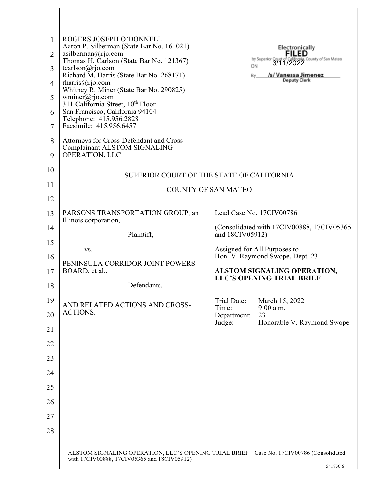| 1<br>2<br>3<br>$\overline{4}$<br>5<br>6<br>7<br>8 | ROGERS JOSEPH O'DONNELL<br>Aaron P. Silberman (State Bar No. 161021)<br>asilberman@rjo.com<br>Thomas H. Carlson (State Bar No. 121367)<br>tcarlson@rjo.com<br>Richard M. Harris (State Bar No. 268171)<br>$\text{tharris}$ ( $Q\text{rjo.com}$<br>Whitney R. Miner (State Bar No. 290825)<br>wminer@rjo.com<br>311 California Street, 10th Floor<br>San Francisco, California 94104<br>Telephone: 415.956.2828<br>Facsimile: 415.956.6457<br>Attorneys for Cross-Defendant and Cross-<br><b>Complainant ALSTOM SIGNALING</b> | <b>Electronically</b><br><b>FILED</b><br>by Superior Court of California, County of San Mateo<br>ONL 3/11/2022<br>ON<br>/s/ Vanessa Jimenez<br>By<br><b>Deputy Clerk</b> |
|---------------------------------------------------|------------------------------------------------------------------------------------------------------------------------------------------------------------------------------------------------------------------------------------------------------------------------------------------------------------------------------------------------------------------------------------------------------------------------------------------------------------------------------------------------------------------------------|--------------------------------------------------------------------------------------------------------------------------------------------------------------------------|
| 9<br>10<br>11                                     | OPERATION, LLC                                                                                                                                                                                                                                                                                                                                                                                                                                                                                                               | SUPERIOR COURT OF THE STATE OF CALIFORNIA                                                                                                                                |
| 12                                                |                                                                                                                                                                                                                                                                                                                                                                                                                                                                                                                              | <b>COUNTY OF SAN MATEO</b>                                                                                                                                               |
| 13                                                | PARSONS TRANSPORTATION GROUP, an                                                                                                                                                                                                                                                                                                                                                                                                                                                                                             | Lead Case No. 17CIV00786                                                                                                                                                 |
| 14                                                | Illinois corporation,                                                                                                                                                                                                                                                                                                                                                                                                                                                                                                        | (Consolidated with 17CIV00888, 17CIV05365                                                                                                                                |
| 15                                                | Plaintiff,                                                                                                                                                                                                                                                                                                                                                                                                                                                                                                                   | and 18CIV05912)                                                                                                                                                          |
| 16                                                | VS.<br>PENINSULA CORRIDOR JOINT POWERS                                                                                                                                                                                                                                                                                                                                                                                                                                                                                       | Assigned for All Purposes to<br>Hon. V. Raymond Swope, Dept. 23                                                                                                          |
| 17                                                | BOARD, et al.,                                                                                                                                                                                                                                                                                                                                                                                                                                                                                                               | ALSTOM SIGNALING OPERATION,<br><b>LLC'S OPENING TRIAL BRIEF</b>                                                                                                          |
| 18                                                | Defendants.                                                                                                                                                                                                                                                                                                                                                                                                                                                                                                                  |                                                                                                                                                                          |
| 19                                                | AND RELATED ACTIONS AND CROSS-                                                                                                                                                                                                                                                                                                                                                                                                                                                                                               | March 15, 2022<br>Trial Date:<br>Time:<br>9:00 a.m.                                                                                                                      |
| 20                                                | ACTIONS.                                                                                                                                                                                                                                                                                                                                                                                                                                                                                                                     | Department:<br>23<br>Judge:<br>Honorable V. Raymond Swope                                                                                                                |
| 21                                                |                                                                                                                                                                                                                                                                                                                                                                                                                                                                                                                              |                                                                                                                                                                          |
| 22                                                |                                                                                                                                                                                                                                                                                                                                                                                                                                                                                                                              |                                                                                                                                                                          |
| 23                                                |                                                                                                                                                                                                                                                                                                                                                                                                                                                                                                                              |                                                                                                                                                                          |
| 24<br>25                                          |                                                                                                                                                                                                                                                                                                                                                                                                                                                                                                                              |                                                                                                                                                                          |
| 26                                                |                                                                                                                                                                                                                                                                                                                                                                                                                                                                                                                              |                                                                                                                                                                          |
| 27                                                |                                                                                                                                                                                                                                                                                                                                                                                                                                                                                                                              |                                                                                                                                                                          |
| 28                                                |                                                                                                                                                                                                                                                                                                                                                                                                                                                                                                                              |                                                                                                                                                                          |
|                                                   |                                                                                                                                                                                                                                                                                                                                                                                                                                                                                                                              |                                                                                                                                                                          |
|                                                   | ALSTOM SIGNALING OPERATION, LLC'S OPENING TRIAL BRIEF - Case No. 17CIV00786 (Consolidated<br>with 17CIV00888, 17CIV05365 and 18CIV05912)                                                                                                                                                                                                                                                                                                                                                                                     | 541730.6                                                                                                                                                                 |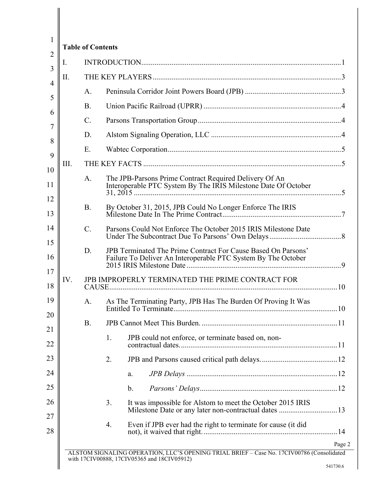| Ι.   |           |                                                                                                                                       |  |
|------|-----------|---------------------------------------------------------------------------------------------------------------------------------------|--|
| Π.   |           |                                                                                                                                       |  |
|      | A.        |                                                                                                                                       |  |
|      | <b>B.</b> |                                                                                                                                       |  |
|      | C.        |                                                                                                                                       |  |
|      | D.        |                                                                                                                                       |  |
|      | Ε.        |                                                                                                                                       |  |
| III. |           |                                                                                                                                       |  |
|      | A.        | The JPB-Parsons Prime Contract Required Delivery Of An<br>Interoperable PTC System By The IRIS Milestone Date Of October              |  |
|      | <b>B.</b> | By October 31, 2015, JPB Could No Longer Enforce The IRIS                                                                             |  |
|      | C.        | Parsons Could Not Enforce The October 2015 IRIS Milestone Date                                                                        |  |
|      | D.        | <b>JPB Terminated The Prime Contract For Cause Based On Parsons'</b><br>Failure To Deliver An Interoperable PTC System By The October |  |
| IV.  |           | JPB IMPROPERLY TERMINATED THE PRIME CONTRACT FOR                                                                                      |  |
|      | A.        | As The Terminating Party, JPB Has The Burden Of Proving It Was                                                                        |  |
|      | <b>B.</b> |                                                                                                                                       |  |
|      |           | JPB could not enforce, or terminate based on, non-<br>1.                                                                              |  |
|      |           | 2.                                                                                                                                    |  |
|      |           | a.                                                                                                                                    |  |
|      |           | $\mathbf b$ .                                                                                                                         |  |
|      |           | 3.<br>It was impossible for Alstom to meet the October 2015 IRIS                                                                      |  |
|      |           | 4.<br>Even if JPB ever had the right to terminate for cause (it did                                                                   |  |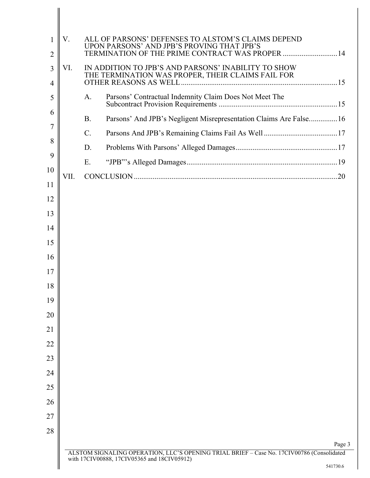| 1              | V.   | ALL OF PARSONS' DEFENSES TO ALSTOM'S CLAIMS DEPEND<br>UPON PARSONS' AND JPB'S PROVING THAT JPB'S         |          |
|----------------|------|----------------------------------------------------------------------------------------------------------|----------|
| $\overline{2}$ |      | TERMINATION OF THE PRIME CONTRACT WAS PROPER  14                                                         |          |
| 3<br>4         | VI.  | IN ADDITION TO JPB'S AND PARSONS' INABILITY TO SHOW<br>THE TERMINATION WAS PROPER, THEIR CLAIMS FAIL FOR |          |
|                |      |                                                                                                          |          |
| 5              |      | Parsons' Contractual Indemnity Claim Does Not Meet The<br>А.                                             |          |
| 6<br>7         |      | Parsons' And JPB's Negligent Misrepresentation Claims Are False16<br><b>B.</b>                           |          |
|                |      | C.                                                                                                       |          |
| 8              |      | D.                                                                                                       |          |
| 9              |      | Ε.                                                                                                       |          |
| 10             | VII. |                                                                                                          |          |
| 11             |      |                                                                                                          |          |
| 12             |      |                                                                                                          |          |
| 13             |      |                                                                                                          |          |
| 14             |      |                                                                                                          |          |
| 15             |      |                                                                                                          |          |
| 16             |      |                                                                                                          |          |
| 17             |      |                                                                                                          |          |
| 18             |      |                                                                                                          |          |
| 19             |      |                                                                                                          |          |
| 20             |      |                                                                                                          |          |
| 21             |      |                                                                                                          |          |
| 22             |      |                                                                                                          |          |
| 23             |      |                                                                                                          |          |
| 24             |      |                                                                                                          |          |
| 25             |      |                                                                                                          |          |
| 26             |      |                                                                                                          |          |
|                |      |                                                                                                          |          |
| 27             |      |                                                                                                          |          |
| 28             |      |                                                                                                          |          |
|                |      | ALSTOM SIGNALING OPERATION, LLC'S OPENING TRIAL BRIEF - Case No. 17CIV00786 (Consolidated                | Page 3   |
|                |      | with 17CIV00888, 17CIV05365 and 18CIV05912)                                                              | 541730.6 |
|                |      |                                                                                                          |          |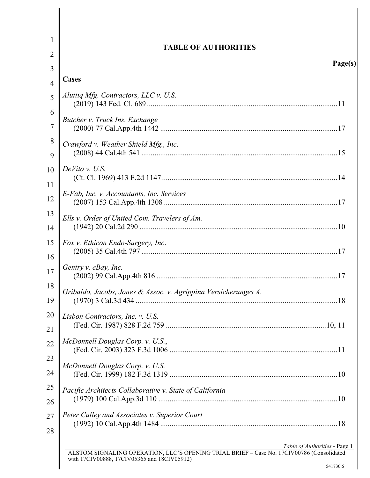| 1        | <b>TABLE OF AUTHORITIES</b>                                                                                                                                                           |
|----------|---------------------------------------------------------------------------------------------------------------------------------------------------------------------------------------|
| 2        | Page(s)                                                                                                                                                                               |
| 3        | Cases                                                                                                                                                                                 |
| 4<br>5   | Alutiiq Mfg. Contractors, LLC v. U.S.                                                                                                                                                 |
| 6        |                                                                                                                                                                                       |
| 7        | Butcher v. Truck Ins. Exchange                                                                                                                                                        |
| 8<br>9   | Crawford v. Weather Shield Mfg., Inc.                                                                                                                                                 |
| 10       | $DeVito$ v. U.S.                                                                                                                                                                      |
| 11<br>12 | E-Fab, Inc. v. Accountants, Inc. Services                                                                                                                                             |
| 13<br>14 | Ells v. Order of United Com. Travelers of Am.                                                                                                                                         |
| 15<br>16 | Fox v. Ethicon Endo-Surgery, Inc.                                                                                                                                                     |
| 17       | Gentry v. eBay, Inc.                                                                                                                                                                  |
| 18<br>19 | Gribaldo, Jacobs, Jones & Assoc. v. Agrippina Versicherunges A.                                                                                                                       |
| 20<br>21 | Lisbon Contractors, Inc. v. U.S.                                                                                                                                                      |
| 22       | McDonnell Douglas Corp. v. U.S.,                                                                                                                                                      |
| 23<br>24 | McDonnell Douglas Corp. v. U.S.                                                                                                                                                       |
| 25       | Pacific Architects Collaborative v. State of California                                                                                                                               |
| 26<br>27 | Peter Culley and Associates v. Superior Court                                                                                                                                         |
| 28       |                                                                                                                                                                                       |
|          | Table of Authorities - Page 1<br>ALSTOM SIGNALING OPERATION, LLC'S OPENING TRIAL BRIEF – Case No. 17CIV00786 (Consolidated<br>with 17CIV00888, 17CIV05365 and 18CIV05912)<br>541730.6 |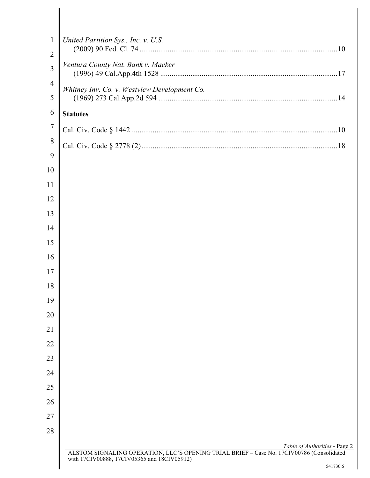| $\mathbf{1}$        | United Partition Sys., Inc. v. U.S.                                                                                                                                       |
|---------------------|---------------------------------------------------------------------------------------------------------------------------------------------------------------------------|
| $\overline{2}$      |                                                                                                                                                                           |
| 3                   | Ventura County Nat. Bank v. Macker                                                                                                                                        |
| $\overline{4}$<br>5 | Whitney Inv. Co. v. Westview Development Co.                                                                                                                              |
| 6                   | <b>Statutes</b>                                                                                                                                                           |
| $\overline{7}$      |                                                                                                                                                                           |
| 8                   |                                                                                                                                                                           |
| 9                   |                                                                                                                                                                           |
| 10                  |                                                                                                                                                                           |
| 11                  |                                                                                                                                                                           |
| 12                  |                                                                                                                                                                           |
| 13                  |                                                                                                                                                                           |
| 14                  |                                                                                                                                                                           |
| 15                  |                                                                                                                                                                           |
| 16                  |                                                                                                                                                                           |
| 17                  |                                                                                                                                                                           |
| 18                  |                                                                                                                                                                           |
| 19                  |                                                                                                                                                                           |
| 20                  |                                                                                                                                                                           |
| 21                  |                                                                                                                                                                           |
| 22                  |                                                                                                                                                                           |
| 23                  |                                                                                                                                                                           |
| 24                  |                                                                                                                                                                           |
| 25                  |                                                                                                                                                                           |
| 26                  |                                                                                                                                                                           |
| 27                  |                                                                                                                                                                           |
| 28                  |                                                                                                                                                                           |
|                     |                                                                                                                                                                           |
|                     | Table of Authorities - Page 2<br>ALSTOM SIGNALING OPERATION, LLC'S OPENING TRIAL BRIEF – Case No. 17CIV00786 (Consolidated<br>with 17CIV00888, 17CIV05365 and 18CIV05912) |
|                     | 541730.6                                                                                                                                                                  |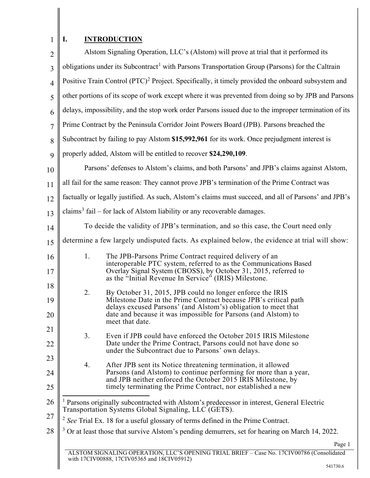1

<span id="page-5-2"></span><span id="page-5-1"></span><span id="page-5-0"></span> $\mathbb{I}$ 

# **I. INTRODUCTION**

| $\overline{2}$ | Alstom Signaling Operation, LLC's (Alstom) will prove at trial that it performed its                                                                                                                                                                                                       |        |
|----------------|--------------------------------------------------------------------------------------------------------------------------------------------------------------------------------------------------------------------------------------------------------------------------------------------|--------|
| 3              | obligations under its Subcontract <sup>1</sup> with Parsons Transportation Group (Parsons) for the Caltrain                                                                                                                                                                                |        |
| $\overline{4}$ | Positive Train Control (PTC) <sup>2</sup> Project. Specifically, it timely provided the onboard subsystem and                                                                                                                                                                              |        |
| 5              | other portions of its scope of work except where it was prevented from doing so by JPB and Parsons                                                                                                                                                                                         |        |
| 6              | delays, impossibility, and the stop work order Parsons issued due to the improper termination of its                                                                                                                                                                                       |        |
| $\overline{7}$ | Prime Contract by the Peninsula Corridor Joint Powers Board (JPB). Parsons breached the                                                                                                                                                                                                    |        |
| 8              | Subcontract by failing to pay Alstom \$15,992,961 for its work. Once prejudgment interest is                                                                                                                                                                                               |        |
| 9              | properly added, Alstom will be entitled to recover \$24,290,109.                                                                                                                                                                                                                           |        |
| 10             | Parsons' defenses to Alstom's claims, and both Parsons' and JPB's claims against Alstom,                                                                                                                                                                                                   |        |
| 11             | all fail for the same reason: They cannot prove JPB's termination of the Prime Contract was                                                                                                                                                                                                |        |
| 12             | factually or legally justified. As such, Alstom's claims must succeed, and all of Parsons' and JPB's                                                                                                                                                                                       |        |
| 13             | claims <sup>3</sup> fail – for lack of Alstom liability or any recoverable damages.                                                                                                                                                                                                        |        |
| 14             | To decide the validity of JPB's termination, and so this case, the Court need only                                                                                                                                                                                                         |        |
| 15             | determine a few largely undisputed facts. As explained below, the evidence at trial will show:                                                                                                                                                                                             |        |
| 16<br>17       | 1.<br>The JPB-Parsons Prime Contract required delivery of an<br>interoperable PTC system, referred to as the Communications Based<br>Overlay Signal System (CBOSS), by October 31, 2015, referred to<br>as the "Initial Revenue In Service" (IRIS) Milestone.                              |        |
| 18<br>19<br>20 | 2.<br>By October 31, 2015, JPB could no longer enforce the IRIS<br>Milestone Date in the Prime Contract because JPB's critical path<br>delays excused Parsons' (and Alstom's) obligation to meet that<br>date and because it was impossible for Parsons (and Alstom) to<br>meet that date. |        |
| 21<br>22       | 3.<br>Even if JPB could have enforced the October 2015 IRIS Milestone<br>Date under the Prime Contract, Parsons could not have done so<br>under the Subcontract due to Parsons' own delays.                                                                                                |        |
| 23<br>24<br>25 | 4.<br>After JPB sent its Notice threatening termination, it allowed<br>Parsons (and Alstom) to continue performing for more than a year,<br>and JPB neither enforced the October 2015 IRIS Milestone, by<br>timely terminating the Prime Contract, nor established a new                   |        |
| 26             | <sup>1</sup> Parsons originally subcontracted with Alstom's predecessor in interest, General Electric<br>Transportation Systems Global Signaling, LLC (GETS).                                                                                                                              |        |
| 27             | $2$ See Trial Ex. 18 for a useful glossary of terms defined in the Prime Contract.                                                                                                                                                                                                         |        |
| 28             | $3$ Or at least those that survive Alstom's pending demurrers, set for hearing on March 14, 2022.                                                                                                                                                                                          |        |
|                | STOM SIGNALING OPERATION II C'S OPENING TRIAL BRIEF - Case No. 17CIV00786 (Consolidated                                                                                                                                                                                                    | Page 1 |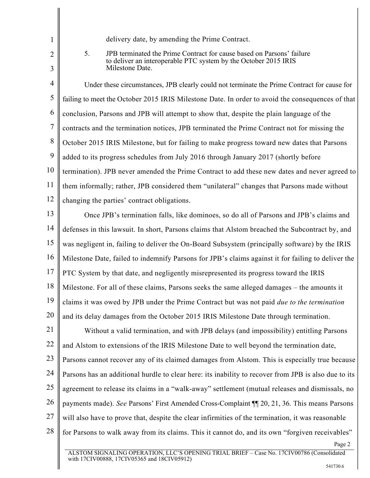- 1  $\mathcal{L}$
- 3

delivery date, by amending the Prime Contract.

5. JPB terminated the Prime Contract for cause based on Parsons' failure to deliver an interoperable PTC system by the October 2015 IRIS Milestone Date.

4 5 6 7 8 9 10 11 12 Under these circumstances, JPB clearly could not terminate the Prime Contract for cause for failing to meet the October 2015 IRIS Milestone Date. In order to avoid the consequences of that conclusion, Parsons and JPB will attempt to show that, despite the plain language of the contracts and the termination notices, JPB terminated the Prime Contract not for missing the October 2015 IRIS Milestone, but for failing to make progress toward new dates that Parsons added to its progress schedules from July 2016 through January 2017 (shortly before termination). JPB never amended the Prime Contract to add these new dates and never agreed to them informally; rather, JPB considered them "unilateral" changes that Parsons made without changing the parties' contract obligations.

13 14 15 16 17 18 19 20 Once JPB's termination falls, like dominoes, so do all of Parsons and JPB's claims and defenses in this lawsuit. In short, Parsons claims that Alstom breached the Subcontract by, and was negligent in, failing to deliver the On-Board Subsystem (principally software) by the IRIS Milestone Date, failed to indemnify Parsons for JPB's claims against it for failing to deliver the PTC System by that date, and negligently misrepresented its progress toward the IRIS Milestone. For all of these claims, Parsons seeks the same alleged damages – the amounts it claims it was owed by JPB under the Prime Contract but was not paid *due to the termination* and its delay damages from the October 2015 IRIS Milestone Date through termination.

21 22 23 24 25 26 27 28 Without a valid termination, and with JPB delays (and impossibility) entitling Parsons and Alstom to extensions of the IRIS Milestone Date to well beyond the termination date, Parsons cannot recover any of its claimed damages from Alstom. This is especially true because Parsons has an additional hurdle to clear here: its inability to recover from JPB is also due to its agreement to release its claims in a "walk-away" settlement (mutual releases and dismissals, no payments made). *See* Parsons' First Amended Cross-Complaint ¶¶ 20, 21, 36. This means Parsons will also have to prove that, despite the clear infirmities of the termination, it was reasonable for Parsons to walk away from its claims. This it cannot do, and its own "forgiven receivables"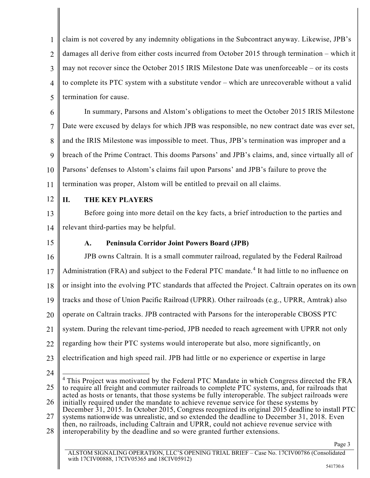1  $\mathfrak{D}$ 3 4 5 claim is not covered by any indemnity obligations in the Subcontract anyway. Likewise, JPB's damages all derive from either costs incurred from October 2015 through termination – which it may not recover since the October 2015 IRIS Milestone Date was unenforceable – or its costs to complete its PTC system with a substitute vendor – which are unrecoverable without a valid termination for cause.

6 7 8 9 10 11 In summary, Parsons and Alstom's obligations to meet the October 2015 IRIS Milestone Date were excused by delays for which JPB was responsible, no new contract date was ever set, and the IRIS Milestone was impossible to meet. Thus, JPB's termination was improper and a breach of the Prime Contract. This dooms Parsons' and JPB's claims, and, since virtually all of Parsons' defenses to Alstom's claims fail upon Parsons' and JPB's failure to prove the termination was proper, Alstom will be entitled to prevail on all claims.

12

## **II. THE KEY PLAYERS**

13 14 Before going into more detail on the key facts, a brief introduction to the parties and relevant third-parties may be helpful.

15

## **A. Peninsula Corridor Joint Powers Board (JPB)**

16 17 18 19 20 21 JPB owns Caltrain. It is a small commuter railroad, regulated by the Federal Railroad Administration (FRA) and subject to the Federal PTC mandate. [4](#page-7-0) It had little to no influence on or insight into the evolving PTC standards that affected the Project. Caltrain operates on its own tracks and those of Union Pacific Railroad (UPRR). Other railroads (e.g., UPRR, Amtrak) also operate on Caltrain tracks. JPB contracted with Parsons for the interoperable CBOSS PTC system. During the relevant time-period, JPB needed to reach agreement with UPRR not only

- 22 regarding how their PTC systems would interoperate but also, more significantly, on
- 23 electrification and high speed rail. JPB had little or no experience or expertise in large
- 24

<span id="page-7-0"></span><sup>25</sup> 26 <sup>4</sup> This Project was motivated by the Federal PTC Mandate in which Congress directed the FRA to require all freight and commuter railroads to complete PTC systems, and, for railroads that acted as hosts or tenants, that those systems be fully interoperable. The subject railroads were initially required under the mandate to achieve revenue service for these systems by

<sup>27</sup> December 31, 2015. In October 2015, Congress recognized its original 2015 deadline to install PTC systems nationwide was unrealistic, and so extended the deadline to December 31, 2018. Even

<sup>28</sup> then, no railroads, including Caltrain and UPRR, could not achieve revenue service with

interoperability by the deadline and so were granted further extensions.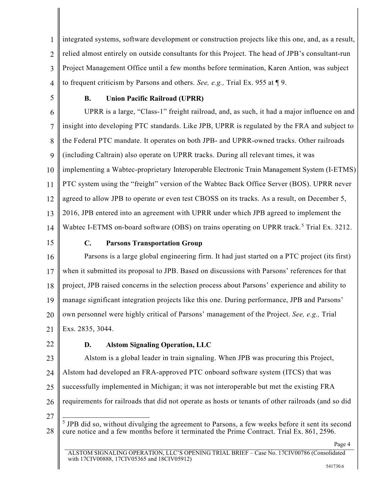1  $\mathfrak{D}$ 3 4 integrated systems, software development or construction projects like this one, and, as a result, relied almost entirely on outside consultants for this Project. The head of JPB's consultant-run Project Management Office until a few months before termination, Karen Antion, was subject to frequent criticism by Parsons and others. *See, e.g.,* Trial Ex. 955 at ¶ 9.

5

## **B. Union Pacific Railroad (UPRR)**

6 7 8 9 10 11 12 13 14 UPRR is a large, "Class-1" freight railroad, and, as such, it had a major influence on and insight into developing PTC standards. Like JPB, UPRR is regulated by the FRA and subject to the Federal PTC mandate. It operates on both JPB- and UPRR-owned tracks. Other railroads (including Caltrain) also operate on UPRR tracks. During all relevant times, it was implementing a Wabtec-proprietary Interoperable Electronic Train Management System (I-ETMS) PTC system using the "freight" version of the Wabtec Back Office Server (BOS). UPRR never agreed to allow JPB to operate or even test CBOSS on its tracks. As a result, on December 5, 2016, JPB entered into an agreement with UPRR under which JPB agreed to implement the Wabtec I-ETMS on-board software (OBS) on trains operating on UPRR track.<sup>[5](#page-8-0)</sup> Trial Ex. 3212.

15

## **C. Parsons Transportation Group**

16 17 18 19 20 21 Parsons is a large global engineering firm. It had just started on a PTC project (its first) when it submitted its proposal to JPB. Based on discussions with Parsons' references for that project, JPB raised concerns in the selection process about Parsons' experience and ability to manage significant integration projects like this one. During performance, JPB and Parsons' own personnel were highly critical of Parsons' management of the Project. *See, e.g.,* Trial Exs. 2835, 3044.

22

## **D. Alstom Signaling Operation, LLC**

23 24 25 26 Alstom is a global leader in train signaling. When JPB was procuring this Project, Alstom had developed an FRA-approved PTC onboard software system (ITCS) that was successfully implemented in Michigan; it was not interoperable but met the existing FRA requirements for railroads that did not operate as hosts or tenants of other railroads (and so did

27

<span id="page-8-0"></span><sup>28</sup> <sup>5</sup> JPB did so, without divulging the agreement to Parsons, a few weeks before it sent its second cure notice and a few months before it terminated the Prime Contract. Trial Ex. 861, 2596.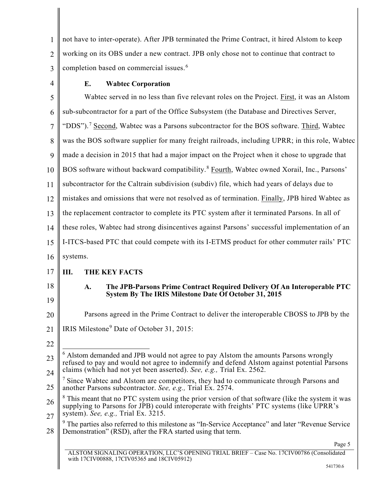1  $\mathfrak{D}$ 3 not have to inter-operate). After JPB terminated the Prime Contract, it hired Alstom to keep working on its OBS under a new contract. JPB only chose not to continue that contract to completion based on commercial issues. [6](#page-9-0)

4

### **E. Wabtec Corporation**

5 6 7 8 9 10 11 12 13 14 15 16 17 18 19 20 21 22 23 Wabtec served in no less than five relevant roles on the Project. First, it was an Alstom sub-subcontractor for a part of the Office Subsystem (the Database and Directives Server, "DDS").<sup>[7](#page-9-1)</sup> Second, Wabtec was a Parsons subcontractor for the BOS software. Third, Wabtec was the BOS software supplier for many freight railroads, including UPRR; in this role, Wabtec made a decision in 2015 that had a major impact on the Project when it chose to upgrade that BOS software without backward compatibility.<sup>[8](#page-9-2)</sup> Fourth, Wabtec owned Xorail, Inc., Parsons' subcontractor for the Caltrain subdivision (subdiv) file, which had years of delays due to mistakes and omissions that were not resolved as of termination. Finally, JPB hired Wabtec as the replacement contractor to complete its PTC system after it terminated Parsons. In all of these roles, Wabtec had strong disincentives against Parsons' successful implementation of an I-ITCS-based PTC that could compete with its I-ETMS product for other commuter rails' PTC systems. **III. THE KEY FACTS A. The JPB-Parsons Prime Contract Required Delivery Of An Interoperable PTC System By The IRIS Milestone Date Of October 31, 2015** Parsons agreed in the Prime Contract to deliver the interoperable CBOSS to JPB by the IRIS Milestone[9](#page-9-3) Date of October 31, 2015:  $6$  Alstom demanded and JPB would not agree to pay Alstom the amounts Parsons wrongly

<span id="page-9-0"></span>24 refused to pay and would not agree to indemnify and defend Alstom against potential Parsons claims (which had not yet been asserted). *See, e.g.,* Trial Ex. 2562.

<span id="page-9-1"></span>25 <sup>7</sup> Since Wabtec and Alstom are competitors, they had to communicate through Parsons and another Parsons subcontractor. *See, e.g.,* Trial Ex. 2574.

<span id="page-9-2"></span>26 27  $8$  This meant that no PTC system using the prior version of that software (like the system it was supplying to Parsons for JPB) could interoperate with freights' PTC systems (like UPRR's system). *See, e.g.,* Trial Ex. 3215.

<span id="page-9-3"></span>28  $9$  The parties also referred to this milestone as "In-Service Acceptance" and later "Revenue Service" Demonstration" (RSD), after the FRA started using that term.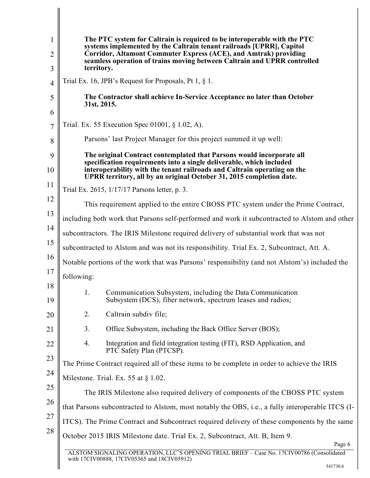| 1              | The PTC system for Caltrain is required to be interoperable with the PTC<br>systems implemented by the Caltrain tenant railroads [UPRR], Capitol |  |
|----------------|--------------------------------------------------------------------------------------------------------------------------------------------------|--|
| 2              | Corridor, Altamont Commuter Express (ACE), and Amtrak) providing<br>seamless operation of trains moving between Caltrain and UPRR controlled     |  |
| 3              | territory.                                                                                                                                       |  |
| $\overline{4}$ | Trial Ex. 16, JPB's Request for Proposals, Pt 1, $\S$ 1.                                                                                         |  |
| 5              | The Contractor shall achieve In-Service Acceptance no later than October<br>31st, 2015.                                                          |  |
| 6              | Trial. Ex. 55 Execution Spec 01001, § 1.02, A).                                                                                                  |  |
| 7              |                                                                                                                                                  |  |
| 8              | Parsons' last Project Manager for this project summed it up well:                                                                                |  |
| 9              | The original Contract contemplated that Parsons would incorporate all<br>specification requirements into a single deliverable, which included    |  |
| 10             | interoperability with the tenant railroads and Caltrain operating on the<br>UPRR territory, all by an original October 31, 2015 completion date. |  |
| 11             | Trial Ex. 2615, 1/17/17 Parsons letter, p. 3.                                                                                                    |  |
| 12             | This requirement applied to the entire CBOSS PTC system under the Prime Contract,                                                                |  |
| 13             | including both work that Parsons self-performed and work it subcontracted to Alstom and other                                                    |  |
| 14             | subcontractors. The IRIS Milestone required delivery of substantial work that was not                                                            |  |
| 15             | subcontracted to Alstom and was not its responsibility. Trial Ex. 2, Subcontract, Att. A.                                                        |  |
| 16             | Notable portions of the work that was Parsons' responsibility (and not Alstom's) included the                                                    |  |
| 17             | following:                                                                                                                                       |  |
| 18<br>19       | Communication Subsystem, including the Data Communication<br>1.<br>Subsystem (DCS), fiber network, spectrum leases and radios;                   |  |
| 20             | 2.<br>Caltrain subdiv file;                                                                                                                      |  |
| 21             | 3.<br>Office Subsystem, including the Back Office Server (BOS);                                                                                  |  |
| 22             | Integration and field integration testing (FIT), RSD Application, and<br>4.<br>PTC Safety Plan (PTCSP).                                          |  |
| 23             | The Prime Contract required all of these items to be complete in order to achieve the IRIS                                                       |  |
| 24             | Milestone. Trial. Ex. 55 at $\S 1.02$ .                                                                                                          |  |
| 25             | The IRIS Milestone also required delivery of components of the CBOSS PTC system                                                                  |  |
| 26             | that Parsons subcontracted to Alstom, most notably the OBS, i.e., a fully interoperable ITCS (I-                                                 |  |
| 27             |                                                                                                                                                  |  |
| 28             | ITCS). The Prime Contract and Subcontract required delivery of these components by the same                                                      |  |
|                | October 2015 IRIS Milestone date. Trial Ex. 2, Subcontract, Att. B, Item 9.<br>Page 6                                                            |  |
|                | ALSTOM SIGNALING OPERATION, LLC'S OPENING TRIAL BRIEF - Case No. 17CIV00786 (Consolidated                                                        |  |

ALSTOM SIGNALING OPERATION, LLC'S OPENING TRIAL BRIEF – Case No. 17CIV00786 (Consolidated with 17CIV00888, 17CIV05365 and 18CIV05912)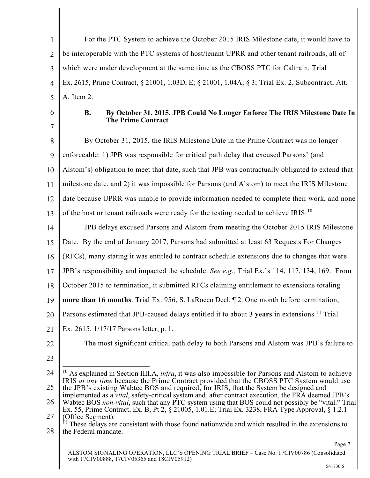1  $\mathfrak{D}$ 3 4 5 For the PTC System to achieve the October 2015 IRIS Milestone date, it would have to be interoperable with the PTC systems of host/tenant UPRR and other tenant railroads, all of which were under development at the same time as the CBOSS PTC for Caltrain. Trial Ex. 2615, Prime Contract, § 21001, 1.03D, E; § 21001, 1.04A; § 3; Trial Ex. 2, Subcontract, Att. A, Item 2.

6 7

### **B. By October 31, 2015, JPB Could No Longer Enforce The IRIS Milestone Date In The Prime Contract**

8 9 10 11 12 13 By October 31, 2015, the IRIS Milestone Date in the Prime Contract was no longer enforceable: 1) JPB was responsible for critical path delay that excused Parsons' (and Alstom's) obligation to meet that date, such that JPB was contractually obligated to extend that milestone date, and 2) it was impossible for Parsons (and Alstom) to meet the IRIS Milestone date because UPRR was unable to provide information needed to complete their work, and none of the host or tenant railroads were ready for the testing needed to achieve IRIS.<sup>[10](#page-11-0)</sup>

14 JPB delays excused Parsons and Alstom from meeting the October 2015 IRIS Milestone

15 Date. By the end of January 2017, Parsons had submitted at least 63 Requests For Changes

16 (RFCs), many stating it was entitled to contract schedule extensions due to changes that were

17 JPB's responsibility and impacted the schedule. *See e.g.,* Trial Ex.'s 114, 117, 134, 169. From

18 October 2015 to termination, it submitted RFCs claiming entitlement to extensions totaling

19 **more than 16 months**. Trial Ex. 956, S. LaRocco Decl. ¶ 2. One month before termination,

- 20 Parsons estimated that JPB-caused delays entitled it to about **3 years** in extensions. [11](#page-11-1) Trial
- 21 Ex. 2615, 1/17/17 Parsons letter, p. 1.
- 22
- 23

The most significant critical path delay to both Parsons and Alstom was JPB's failure to

- <span id="page-11-0"></span>24 25 <sup>10</sup> As explained in Section IIII.A, *infra*, it was also impossible for Parsons and Alstom to achieve IRIS *at any time* because the Prime Contract provided that the CBOSS PTC System would use the JPB's existing Wabtec BOS and required, for IRIS, that the System be designed and
- 26 implemented as a *vital*, safety-critical system and, after contract execution, the FRA deemed JPB's Wabtec BOS *non-vital*, such that any PTC system using that BOS could not possibly be "vital." Trial

27 Ex. 55, Prime Contract, Ex. B, Pt 2, § 21005, 1.01.E; Trial Ex. 3238, FRA Type Approval, § 1.2.1 (Office Segment).<br><sup>11</sup> These delays are consistent with those found nationwide and which resulted in the extensions to

<span id="page-11-1"></span>28 the Federal mandate.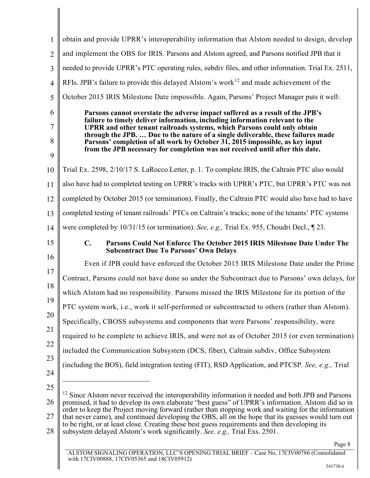<span id="page-12-0"></span>

| $\mathbf{1}$   | obtain and provide UPRR's interoperability information that Alstom needed to design, develop                                                                                                                                                                                        |
|----------------|-------------------------------------------------------------------------------------------------------------------------------------------------------------------------------------------------------------------------------------------------------------------------------------|
| $\overline{2}$ | and implement the OBS for IRIS. Parsons and Alstom agreed, and Parsons notified JPB that it                                                                                                                                                                                         |
| 3              | needed to provide UPRR's PTC operating rules, subdiv files, and other information. Trial Ex. 2511,                                                                                                                                                                                  |
| $\overline{4}$ | RFIs. JPB's failure to provide this delayed Alstom's work <sup>12</sup> and made achievement of the                                                                                                                                                                                 |
| 5              | October 2015 IRIS Milestone Date impossible. Again, Parsons' Project Manager puts it well:                                                                                                                                                                                          |
| 6              | Parsons cannot overstate the adverse impact suffered as a result of the JPB's                                                                                                                                                                                                       |
| 7              | failure to timely deliver information, including information relevant to the<br>UPRR and other tenant railroads systems, which Parsons could only obtain<br>through the JPB.  Due to the nature of a single deliverable, these failures made                                        |
| 8              | Parsons' completion of all work by October 31, 2015 impossible, as key input<br>from the JPB necessary for completion was not received until after this date.                                                                                                                       |
| 9              |                                                                                                                                                                                                                                                                                     |
| 10             | Trial Ex. 2598, 2/10/17 S. LaRocco Letter, p. 1. To complete IRIS, the Caltrain PTC also would                                                                                                                                                                                      |
| 11             | also have had to completed testing on UPRR's tracks with UPRR's PTC, but UPRR's PTC was not                                                                                                                                                                                         |
| 12             | completed by October 2015 (or termination). Finally, the Caltrain PTC would also have had to have                                                                                                                                                                                   |
| 13             | completed testing of tenant railroads' PTCs on Caltrain's tracks; none of the tenants' PTC systems                                                                                                                                                                                  |
| 14             | were completed by 10/31/15 (or termination). See, e.g., Trial Ex. 955, Choudri Decl., 123.                                                                                                                                                                                          |
| 15             | $\mathbf{C}$ .<br>Parsons Could Not Enforce The October 2015 IRIS Milestone Date Under The<br><b>Subcontract Due To Parsons' Own Delays</b>                                                                                                                                         |
| 16             | Even if JPB could have enforced the October 2015 IRIS Milestone Date under the Prime                                                                                                                                                                                                |
| 17             | Contract, Parsons could not have done so under the Subcontract due to Parsons' own delays, for                                                                                                                                                                                      |
| 18             | which Alstom had no responsibility. Parsons missed the IRIS Milestone for its portion of the                                                                                                                                                                                        |
| 19             | PTC system work, i.e., work it self-performed or subcontracted to others (rather than Alstom).                                                                                                                                                                                      |
| 20             | Specifically, CBOSS subsystems and components that were Parsons' responsibility, were                                                                                                                                                                                               |
| 21             | required to be complete to achieve IRIS, and were not as of October 2015 (or even termination)                                                                                                                                                                                      |
| 22             | included the Communication Subsystem (DCS, fiber), Caltrain subdiv, Office Subsystem                                                                                                                                                                                                |
| 23             | (including the BOS), field integration testing (FIT), RSD Application, and PTCSP. See, e.g., Trial                                                                                                                                                                                  |
| 24             |                                                                                                                                                                                                                                                                                     |
| 25             | <sup>12</sup> Since Alstom never received the interoperability information it needed and both JPB and Parsons                                                                                                                                                                       |
| 26             | promised, it had to develop its own elaborate "best guess" of UPRR's information. Alstom did so in                                                                                                                                                                                  |
|                | order to keep the Project moving forward (rather than stopping work and waiting for the information                                                                                                                                                                                 |
| 27<br>28       | that never came), and continued developing the OBS, all on the hope that its guesses would turn out<br>to be right, or at least close. Creating these best guess requirements and then developing its<br>subsystem delayed Alstom's work significantly. See, e.g., Trial Exs. 2501. |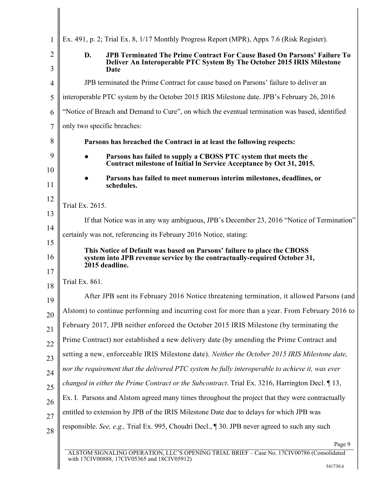| $\mathbf{1}$        | Ex. 491, p. 2; Trial Ex. 8, 1/17 Monthly Progress Report (MPR), Appx 7.6 (Risk Register).                                                                        |
|---------------------|------------------------------------------------------------------------------------------------------------------------------------------------------------------|
| $\overline{2}$<br>3 | D.<br>JPB Terminated The Prime Contract For Cause Based On Parsons' Failure To<br>Deliver An Interoperable PTC System By The October 2015 IRIS Milestone<br>Date |
| 4                   | JPB terminated the Prime Contract for cause based on Parsons' failure to deliver an                                                                              |
| 5                   | interoperable PTC system by the October 2015 IRIS Milestone date. JPB's February 26, 2016                                                                        |
| 6                   | "Notice of Breach and Demand to Cure", on which the eventual termination was based, identified                                                                   |
| $\overline{7}$      | only two specific breaches:                                                                                                                                      |
| 8                   | Parsons has breached the Contract in at least the following respects:                                                                                            |
| 9                   | Parsons has failed to supply a CBOSS PTC system that meets the                                                                                                   |
| 10                  | Contract milestone of Initial In Service Acceptance by Oct 31, 2015.                                                                                             |
| 11                  | Parsons has failed to meet numerous interim milestones, deadlines, or<br>schedules.                                                                              |
| 12                  | Trial Ex. 2615.                                                                                                                                                  |
| 13                  | If that Notice was in any way ambiguous, JPB's December 23, 2016 "Notice of Termination"                                                                         |
| 14                  | certainly was not, referencing its February 2016 Notice, stating:                                                                                                |
| 15                  | This Notice of Default was based on Parsons' failure to place the CBOSS                                                                                          |
| 16<br>17            | system into JPB revenue service by the contractually-required October 31,<br>2015 deadline.                                                                      |
| 18                  | Trial Ex. 861.                                                                                                                                                   |
| 19                  | After JPB sent its February 2016 Notice threatening termination, it allowed Parsons (and                                                                         |
| 20                  | Alstom) to continue performing and incurring cost for more than a year. From February 2016 to                                                                    |
| 21                  | February 2017, JPB neither enforced the October 2015 IRIS Milestone (by terminating the                                                                          |
| 22                  | Prime Contract) nor established a new delivery date (by amending the Prime Contract and                                                                          |
| 23                  | setting a new, enforceable IRIS Milestone date). Neither the October 2015 IRIS Milestone date,                                                                   |
| 24                  | nor the requirement that the delivered PTC system be fully interoperable to achieve it, was ever                                                                 |
| 25                  | changed in either the Prime Contract or the Subcontract. Trial Ex. 3216, Harrington Decl. 13,                                                                    |
| 26                  | Ex. I. Parsons and Alstom agreed many times throughout the project that they were contractually                                                                  |
| 27                  | entitled to extension by JPB of the IRIS Milestone Date due to delays for which JPB was                                                                          |
| 28                  | responsible. See, e.g., Trial Ex. 995, Choudri Decl., ¶ 30. JPB never agreed to such any such                                                                    |
|                     | Page 9                                                                                                                                                           |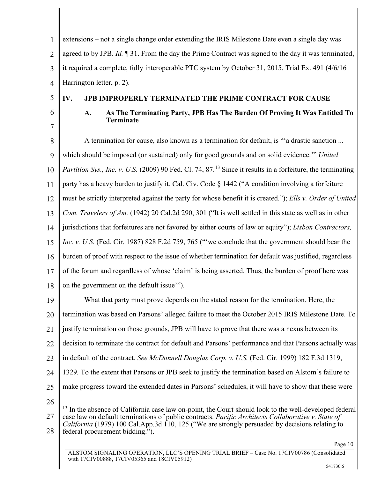1  $\mathfrak{D}$ 3 4 extensions – not a single change order extending the IRIS Milestone Date even a single day was agreed to by JPB. *Id.* ¶ 31. From the day the Prime Contract was signed to the day it was terminated, it required a complete, fully interoperable PTC system by October 31, 2015. Trial Ex. 491 (4/6/16 Harrington letter, p. 2).

5

## **IV. JPB IMPROPERLY TERMINATED THE PRIME CONTRACT FOR CAUSE**

6 7

# <span id="page-14-5"></span><span id="page-14-4"></span><span id="page-14-1"></span><span id="page-14-0"></span>**A. As The Terminating Party, JPB Has The Burden Of Proving It Was Entitled To Terminate**

8 9 10 11 12 13 14 15 16 17 18 A termination for cause, also known as a termination for default, is "'a drastic sanction ... which should be imposed (or sustained) only for good grounds and on solid evidence.'" *United*  Partition Sys., Inc. v. U.S. (2009) 90 Fed. Cl. 74, 87.<sup>[13](#page-14-6)</sup> Since it results in a forfeiture, the terminating party has a heavy burden to justify it. Cal. Civ. Code § 1442 ("A condition involving a forfeiture must be strictly interpreted against the party for whose benefit it is created."); *Ells v. Order of United Com. Travelers of Am.* (1942) 20 Cal.2d 290, 301 ("It is well settled in this state as well as in other jurisdictions that forfeitures are not favored by either courts of law or equity"); *Lisbon Contractors, Inc. v. U.S.* (Fed. Cir. 1987) 828 F.2d 759, 765 (""we conclude that the government should bear the burden of proof with respect to the issue of whether termination for default was justified, regardless of the forum and regardless of whose 'claim' is being asserted. Thus, the burden of proof here was on the government on the default issue'").

19 20 21 22 23 24 25 What that party must prove depends on the stated reason for the termination. Here, the termination was based on Parsons' alleged failure to meet the October 2015 IRIS Milestone Date. To justify termination on those grounds, JPB will have to prove that there was a nexus between its decision to terminate the contract for default and Parsons' performance and that Parsons actually was in default of the contract. *See McDonnell Douglas Corp. v. U.S.* (Fed. Cir. 1999) 182 F.3d 1319, 1329*.* To the extent that Parsons or JPB seek to justify the termination based on Alstom's failure to make progress toward the extended dates in Parsons' schedules, it will have to show that these were

<span id="page-14-2"></span>26

<span id="page-14-6"></span><span id="page-14-3"></span><sup>27</sup> 28  $<sup>13</sup>$  In the absence of California case law on-point, the Court should look to the well-developed federal</sup> case law on default terminations of public contracts. *Pacific Architects Collaborative v. State of California* (1979) 100 Cal.App.3d 110, 125 ("We are strongly persuaded by decisions relating to federal procurement bidding.").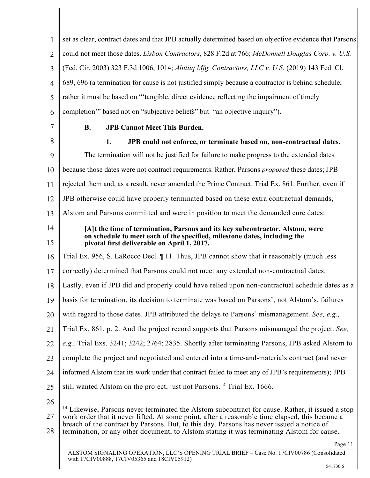<span id="page-15-2"></span><span id="page-15-1"></span><span id="page-15-0"></span>1  $\mathfrak{D}$ 3 4 5 6 7 8 9 10 11 12 13 14 15 16 17 18 19 20 21 22 23 24 25 26 set as clear, contract dates and that JPB actually determined based on objective evidence that Parsons could not meet those dates. *Lisbon Contractors*, 828 F.2d at 766; *McDonnell Douglas Corp. v. U.S.* (Fed. Cir. 2003) 323 F.3d 1006, 1014; *Alutiiq Mfg. Contractors, LLC v. U.S.* (2019) 143 Fed. Cl. 689, 696 (a termination for cause is not justified simply because a contractor is behind schedule; rather it must be based on "'tangible, direct evidence reflecting the impairment of timely completion'" based not on "subjective beliefs" but "an objective inquiry"). **B. JPB Cannot Meet This Burden. 1. JPB could not enforce, or terminate based on, non-contractual dates.** The termination will not be justified for failure to make progress to the extended dates because those dates were not contract requirements. Rather, Parsons *proposed* these dates; JPB rejected them and, as a result, never amended the Prime Contract. Trial Ex. 861. Further, even if JPB otherwise could have properly terminated based on these extra contractual demands, Alstom and Parsons committed and were in position to meet the demanded cure dates: **[A]t the time of termination, Parsons and its key subcontractor, Alstom, were on schedule to meet each of the specified, milestone dates, including the pivotal first deliverable on April 1, 2017.** Trial Ex. 956, S. LaRocco Decl. ¶ 11. Thus, JPB cannot show that it reasonably (much less correctly) determined that Parsons could not meet any extended non-contractual dates. Lastly, even if JPB did and properly could have relied upon non-contractual schedule dates as a basis for termination, its decision to terminate was based on Parsons', not Alstom's, failures with regard to those dates. JPB attributed the delays to Parsons' mismanagement. *See, e.g.,*  Trial Ex. 861, p. 2. And the project record supports that Parsons mismanaged the project. *See, e.g.,* Trial Exs. 3241; 3242; 2764; 2835. Shortly after terminating Parsons, JPB asked Alstom to complete the project and negotiated and entered into a time-and-materials contract (and never informed Alstom that its work under that contract failed to meet any of JPB's requirements); JPB still wanted Alstom on the project, just not Parsons.<sup>[14](#page-15-3)</sup> Trial Ex. 1666.  $14$  Likewise, Parsons never terminated the Alstom subcontract for cause. Rather, it issued a stop

<span id="page-15-3"></span>27 work order that it never lifted. At some point, after a reasonable time elapsed, this became a breach of the contract by Parsons. But, to this day, Parsons has never issued a notice of

<sup>28</sup> termination, or any other document, to Alstom stating it was terminating Alstom for cause.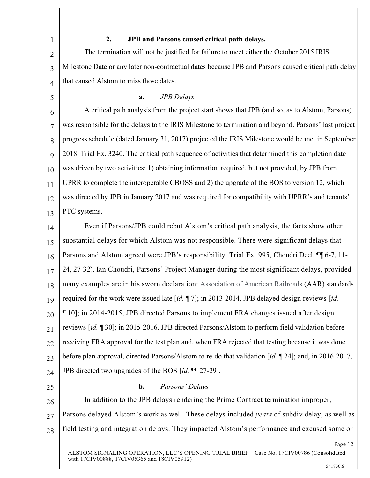## **2. JPB and Parsons caused critical path delays.**

The termination will not be justified for failure to meet either the October 2015 IRIS Milestone Date or any later non-contractual dates because JPB and Parsons caused critical path delay that caused Alstom to miss those dates.

5

1

2

3

4

#### **a.** *JPB Delays*

6 7 8 9 10 11 12 13 A critical path analysis from the project start shows that JPB (and so, as to Alstom, Parsons) was responsible for the delays to the IRIS Milestone to termination and beyond. Parsons' last project progress schedule (dated January 31, 2017) projected the IRIS Milestone would be met in September 2018. Trial Ex. 3240. The critical path sequence of activities that determined this completion date was driven by two activities: 1) obtaining information required, but not provided, by JPB from UPRR to complete the interoperable CBOSS and 2) the upgrade of the BOS to version 12, which was directed by JPB in January 2017 and was required for compatibility with UPRR's and tenants' PTC systems.

14 15 16 17 18 19 20 21 22 23 24 Even if Parsons/JPB could rebut Alstom's critical path analysis, the facts show other substantial delays for which Alstom was not responsible. There were significant delays that Parsons and Alstom agreed were JPB's responsibility. Trial Ex. 995, Choudri Decl. ¶¶ 6-7, 11- 24, 27-32). Ian Choudri, Parsons' Project Manager during the most significant delays, provided many examples are in his sworn declaration: Association of American Railroads (AAR) standards required for the work were issued late [*id.* ¶ 7]; in 2013-2014, JPB delayed design reviews [*id.*  ¶ 10]; in 2014-2015, JPB directed Parsons to implement FRA changes issued after design reviews [*id.* ¶ 30]; in 2015-2016, JPB directed Parsons/Alstom to perform field validation before receiving FRA approval for the test plan and, when FRA rejected that testing because it was done before plan approval, directed Parsons/Alstom to re-do that validation [*id.* ¶ 24]; and, in 2016-2017, JPB directed two upgrades of the BOS [*id.* ¶¶ 27-29].

25

#### **b.** *Parsons' Delays*

26 27 28 In addition to the JPB delays rendering the Prime Contract termination improper, Parsons delayed Alstom's work as well. These delays included *years* of subdiv delay, as well as field testing and integration delays. They impacted Alstom's performance and excused some or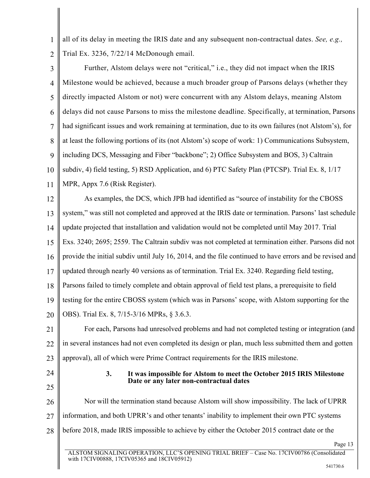1  $\mathfrak{D}$ all of its delay in meeting the IRIS date and any subsequent non-contractual dates. *See, e.g.,*  Trial Ex. 3236, 7/22/14 McDonough email.

3 4 5 6 7 8 9 10 11 Further, Alstom delays were not "critical," i.e., they did not impact when the IRIS Milestone would be achieved, because a much broader group of Parsons delays (whether they directly impacted Alstom or not) were concurrent with any Alstom delays, meaning Alstom delays did not cause Parsons to miss the milestone deadline. Specifically, at termination, Parsons had significant issues and work remaining at termination, due to its own failures (not Alstom's), for at least the following portions of its (not Alstom's) scope of work: 1) Communications Subsystem, including DCS, Messaging and Fiber "backbone"; 2) Office Subsystem and BOS, 3) Caltrain subdiv, 4) field testing, 5) RSD Application, and 6) PTC Safety Plan (PTCSP). Trial Ex. 8, 1/17 MPR, Appx 7.6 (Risk Register).

12 13 14 15 16 17 18 19 20 As examples, the DCS, which JPB had identified as "source of instability for the CBOSS system," was still not completed and approved at the IRIS date or termination. Parsons' last schedule update projected that installation and validation would not be completed until May 2017. Trial Exs. 3240; 2695; 2559. The Caltrain subdiv was not completed at termination either. Parsons did not provide the initial subdiv until July 16, 2014, and the file continued to have errors and be revised and updated through nearly 40 versions as of termination. Trial Ex. 3240. Regarding field testing, Parsons failed to timely complete and obtain approval of field test plans, a prerequisite to field testing for the entire CBOSS system (which was in Parsons' scope, with Alstom supporting for the OBS). Trial Ex. 8, 7/15-3/16 MPRs, § 3.6.3.

21 22 23 For each, Parsons had unresolved problems and had not completed testing or integration (and in several instances had not even completed its design or plan, much less submitted them and gotten approval), all of which were Prime Contract requirements for the IRIS milestone.

24

25

### **3. It was impossible for Alstom to meet the October 2015 IRIS Milestone Date or any later non-contractual dates**

26 27 28 Nor will the termination stand because Alstom will show impossibility. The lack of UPRR information, and both UPRR's and other tenants' inability to implement their own PTC systems before 2018, made IRIS impossible to achieve by either the October 2015 contract date or the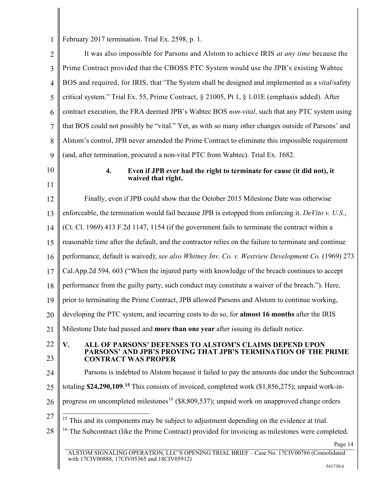1 February 2017 termination. Trial Ex. 2598, p. 1.

<span id="page-18-3"></span><span id="page-18-2"></span><span id="page-18-1"></span>with 17CIV00888, 17CIV05365 and 18CIV05912)

<span id="page-18-0"></span>

| $\overline{2}$ | It was also impossible for Parsons and Alstom to achieve IRIS at any time because the                                                                         |
|----------------|---------------------------------------------------------------------------------------------------------------------------------------------------------------|
| 3              | Prime Contract provided that the CBOSS PTC System would use the JPB's existing Wabtec                                                                         |
| $\overline{4}$ | BOS and required, for IRIS, that "The System shall be designed and implemented as a vital/safety                                                              |
| 5              | critical system." Trial Ex. 55, Prime Contract, § 21005, Pt 1, § 1.01E (emphasis added). After                                                                |
| 6              | contract execution, the FRA deemed JPB's Wabtec BOS non-vital, such that any PTC system using                                                                 |
| 7              | that BOS could not possibly be "vital." Yet, as with so many other changes outside of Parsons' and                                                            |
| 8              | Alstom's control, JPB never amended the Prime Contract to eliminate this impossible requirement                                                               |
| 9              | (and, after termination, procured a non-vital PTC from Wabtec). Trial Ex. 1682.                                                                               |
| 10<br>11       | Even if JPB ever had the right to terminate for cause (it did not), it<br>4.<br>waived that right.                                                            |
| 12             | Finally, even if JPB could show that the October 2015 Milestone Date was otherwise                                                                            |
| 13             | enforceable, the termination would fail because JPB is estopped from enforcing it. DeVito v. U.S.,                                                            |
| 14             | (Ct. Cl. 1969) 413 F.2d 1147, 1154 (if the government fails to terminate the contract within a                                                                |
| 15             | reasonable time after the default, and the contractor relies on the failure to terminate and continue                                                         |
| 16             | performance, default is waived); see also Whitney Inv. Co. v. Westview Development Co. (1969) 273                                                             |
| 17             | Cal.App.2d 594, 603 ("When the injured party with knowledge of the breach continues to accept                                                                 |
| 18             | performance from the guilty party, such conduct may constitute a waiver of the breach."). Here,                                                               |
| 19             | prior to terminating the Prime Contract, JPB allowed Parsons and Alstom to continue working,                                                                  |
| 20             | developing the PTC system, and incurring costs to do so, for almost 16 months after the IRIS                                                                  |
| 21             | Milestone Date had passed and more than one year after issuing its default notice.                                                                            |
| 22<br>23       | V.<br>ALL OF PARSONS' DEFENSES TO ALSTOM'S CLAIMS DEPEND UPON<br>PARSONS' AND JPB'S PROVING THAT JPB'S TERMINATION OF THE PRIME<br><b>CONTRACT WAS PROPER</b> |
| 24             | Parsons is indebted to Alstom because it failed to pay the amounts due under the Subcontract                                                                  |
| 25             | totaling \$24,290,109. <sup>15</sup> This consists of invoiced, completed work $(1,856,275)$ ; unpaid work-in-                                                |
| 26             | progress on uncompleted milestones <sup>16</sup> (\$8,809,537); unpaid work on unapproved change orders                                                       |
| 27             | <sup>15</sup> This and its components may be subject to adjustment depending on the evidence at trial.                                                        |
| 28             | <sup>16</sup> The Subcontract (like the Prime Contract) provided for invoicing as milestones were completed.                                                  |
|                | Page 14                                                                                                                                                       |
|                | ALSTOM SIGNALING OPERATION, LLC'S OPENING TRIAL BRIEF - Case No. 17CIV00786 (Consolidated                                                                     |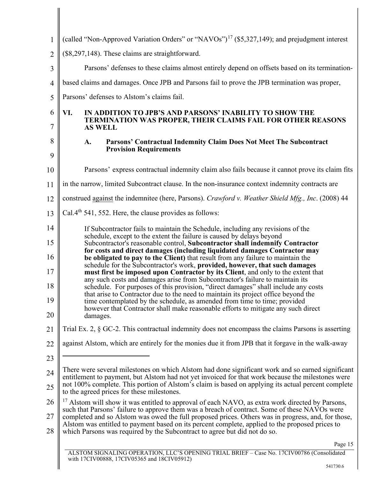<span id="page-19-0"></span>

| 1              | (called "Non-Approved Variation Orders" or "NAVOs") <sup>17</sup> (\$5,327,149); and prejudgment interest                                                                                              |
|----------------|--------------------------------------------------------------------------------------------------------------------------------------------------------------------------------------------------------|
| $\overline{2}$ | (\$8,297,148). These claims are straightforward.                                                                                                                                                       |
| 3              | Parsons' defenses to these claims almost entirely depend on offsets based on its termination-                                                                                                          |
| $\overline{4}$ | based claims and damages. Once JPB and Parsons fail to prove the JPB termination was proper,                                                                                                           |
| 5              | Parsons' defenses to Alstom's claims fail.                                                                                                                                                             |
| 6<br>7         | VI.<br>IN ADDITION TO JPB'S AND PARSONS' INABILITY TO SHOW THE<br><b>TERMINATION WAS PROPER, THEIR CLAIMS FAIL FOR OTHER REASONS</b><br><b>AS WELL</b>                                                 |
| 8              | Parsons' Contractual Indemnity Claim Does Not Meet The Subcontract<br>A.                                                                                                                               |
| 9              | <b>Provision Requirements</b>                                                                                                                                                                          |
| 10             | Parsons' express contractual indemnity claim also fails because it cannot prove its claim fits                                                                                                         |
| 11             | in the narrow, limited Subcontract clause. In the non-insurance context indemnity contracts are                                                                                                        |
| 12             | construed against the indemnitee (here, Parsons). Crawford v. Weather Shield Mfg., Inc. (2008) 44                                                                                                      |
| 13             | Cal.4 <sup>th</sup> 541, 552. Here, the clause provides as follows:                                                                                                                                    |
| 14             | If Subcontractor fails to maintain the Schedule, including any revisions of the<br>schedule, except to the extent the failure is caused by delays beyond                                               |
| 15             | Subcontractor's reasonable control, Subcontractor shall indemnify Contractor<br>for costs and direct damages (including liquidated damages Contractor may                                              |
| 16             | be obligated to pay to the Client) that result from any failure to maintain the<br>schedule for the Subcontractor's work, provided, however, that such damages                                         |
| 17             | must first be imposed upon Contractor by its Client, and only to the extent that<br>any such costs and damages arise from Subcontractor's failure to maintain its                                      |
| 18             | schedule. For purposes of this provision, "direct damages" shall include any costs<br>that arise to Contractor due to the need to maintain its project office beyond the                               |
| 19             | time contemplated by the schedule, as amended from time to time; provided<br>however that Contractor shall make reasonable efforts to mitigate any such direct                                         |
| 20             | damages.                                                                                                                                                                                               |
| 21             | Trial Ex. 2, $\S$ GC-2. This contractual indemnity does not encompass the claims Parsons is asserting                                                                                                  |
| 22             | against Alstom, which are entirely for the monies due it from JPB that it forgave in the walk-away                                                                                                     |
| 23             |                                                                                                                                                                                                        |
| 24             | There were several milestones on which Alstom had done significant work and so earned significant<br>entitlement to payment, but Alstom had not yet invoiced for that work because the milestones were |
| 25             | not 100% complete. This portion of Alstom's claim is based on applying its actual percent complete<br>to the agreed prices for these milestones.                                                       |
| 26             | $^{17}$ Alstom will show it was entitled to approval of each NAVO, as extra work directed by Parsons,<br>such that Parsons' failure to approve them was a breach of contract. Some of these NAVOs were |
| 27             | completed and so Alstom was owed the full proposed prices. Others was in progress, and, for those,<br>Alstom was entitled to payment based on its percent complete, applied to the proposed prices to  |
| 28             | which Parsons was required by the Subcontract to agree but did not do so.                                                                                                                              |
|                | Page 15<br>A L CTOM CICMAL INC. OBED A TION I L C'C OBENING TBLAL BRIET                                                                                                                                |

<span id="page-19-1"></span> $\mathbb{I}$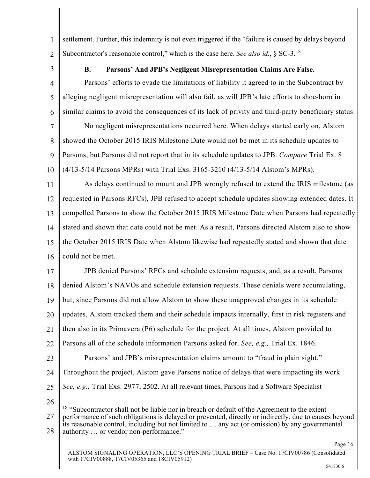- $\mathfrak{D}$ settlement. Further, this indemnity is not even triggered if the "failure is caused by delays beyond Subcontractor's reasonable control," which is the case here. *See also id.*, § SC-3. [18](#page-20-0)
- 3

1

## **B. Parsons' And JPB's Negligent Misrepresentation Claims Are False.**

4 5 6 Parsons' efforts to evade the limitations of liability it agreed to in the Subcontract by alleging negligent misrepresentation will also fail, as will JPB's late efforts to shoe-horn in similar claims to avoid the consequences of its lack of privity and third-party beneficiary status.

7 8 9 10 No negligent misrepresentations occurred here. When delays started early on, Alstom showed the October 2015 IRIS Milestone Date would not be met in its schedule updates to Parsons, but Parsons did not report that in its schedule updates to JPB. *Compare* Trial Ex. 8 (4/13-5/14 Parsons MPRs) with Trial Exs. 3165-3210 (4/13-5/14 Alstom's MPRs).

11 12 13 14 15 16 As delays continued to mount and JPB wrongly refused to extend the IRIS milestone (as requested in Parsons RFCs), JPB refused to accept schedule updates showing extended dates. It compelled Parsons to show the October 2015 IRIS Milestone Date when Parsons had repeatedly stated and shown that date could not be met. As a result, Parsons directed Alstom also to show the October 2015 IRIS Date when Alstom likewise had repeatedly stated and shown that date could not be met.

17 18 19 20 21 22 23 JPB denied Parsons' RFCs and schedule extension requests, and, as a result, Parsons denied Alstom's NAVOs and schedule extension requests. These denials were accumulating, but, since Parsons did not allow Alstom to show these unapproved changes in its schedule updates, Alstom tracked them and their schedule impacts internally, first in risk registers and then also in its Primavera (P6) schedule for the project. At all times, Alstom provided to Parsons all of the schedule information Parsons asked for. *See, e.g.,* Trial Ex. 1846. Parsons' and JPB's misrepresentation claims amount to "fraud in plain sight."

- 24 Throughout the project, Alstom gave Parsons notice of delays that were impacting its work.
- 25 *See, e.g.,* Trial Exs. 2977, 2502. At all relevant times, Parsons had a Software Specialist
- 26

<span id="page-20-0"></span><sup>27</sup> 28  $18$  "Subcontractor shall not be liable nor in breach or default of the Agreement to the extent performance of such obligations is delayed or prevented, directly or indirectly, due to causes beyond its reasonable control, including but not limited to … any act (or omission) by any governmental authority … or vendor non-performance."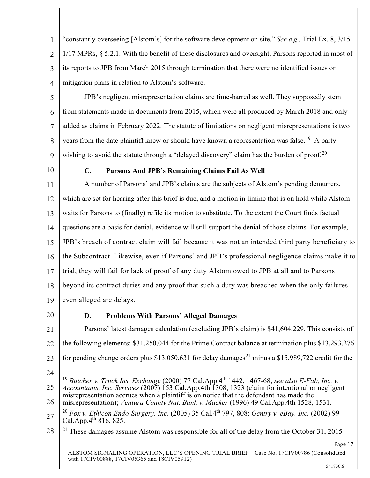1  $\mathfrak{D}$ 3 4 "constantly overseeing [Alstom's] for the software development on site." *See e.g.,* Trial Ex. 8, 3/15- 1/17 MPRs, § 5.2.1. With the benefit of these disclosures and oversight, Parsons reported in most of its reports to JPB from March 2015 through termination that there were no identified issues or mitigation plans in relation to Alstom's software.

- 5 6 7 8 9 JPB's negligent misrepresentation claims are time-barred as well. They supposedly stem from statements made in documents from 2015, which were all produced by March 2018 and only added as claims in February 2022. The statute of limitations on negligent misrepresentations is two years from the date plaintiff knew or should have known a representation was false.<sup>[19](#page-21-5)</sup> A party wishing to avoid the statute through a "delayed discovery" claim has the burden of proof.<sup>[20](#page-21-6)</sup>
- 10

### **C. Parsons And JPB's Remaining Claims Fail As Well**

11 12 13 14 15 16 17 18 19 A number of Parsons' and JPB's claims are the subjects of Alstom's pending demurrers, which are set for hearing after this brief is due, and a motion in limine that is on hold while Alstom waits for Parsons to (finally) refile its motion to substitute. To the extent the Court finds factual questions are a basis for denial, evidence will still support the denial of those claims. For example, JPB's breach of contract claim will fail because it was not an intended third party beneficiary to the Subcontract. Likewise, even if Parsons' and JPB's professional negligence claims make it to trial, they will fail for lack of proof of any duty Alstom owed to JPB at all and to Parsons beyond its contract duties and any proof that such a duty was breached when the only failures even alleged are delays.

20

## <span id="page-21-3"></span><span id="page-21-1"></span>**D. Problems With Parsons' Alleged Damages**

21 22 23 24 Parsons' latest damages calculation (excluding JPB's claim) is \$41,604,229. This consists of the following elements: \$31,250,044 for the Prime Contract balance at termination plus \$13,293,276 for pending change orders plus \$13,050,631 for delay damages<sup>[21](#page-21-7)</sup> minus a \$15,989,722 credit for the <sup>19</sup> *Butcher v. Truck Ins. Exchange* (2000) 77 Cal.App.4th 1442, 1467-68; *see also E-Fab, Inc. v.* 

<span id="page-21-5"></span><span id="page-21-0"></span><sup>25</sup> 26 *Accountants, Inc. Services* (2007) 153 Cal.App.4th 1308, 1323 (claim for intentional or negligent misrepresentation accrues when a plaintiff is on notice that the defendant has made the misrepresentation); *Ventura County Nat. Bank v. Macker* (1996) 49 Cal.App.4th 1528, 1531.

<span id="page-21-6"></span><span id="page-21-4"></span><span id="page-21-2"></span><sup>27</sup> <sup>20</sup> *Fox v. Ethicon Endo-Surgery, Inc*. (2005) 35 Cal.4th 797, 808; *Gentry v. eBay, Inc.* (2002) 99 Cal.App. $4^{th}$  816, 825.

<span id="page-21-7"></span><sup>28</sup> <sup>21</sup> These damages assume Alstom was responsible for all of the delay from the October 31, 2015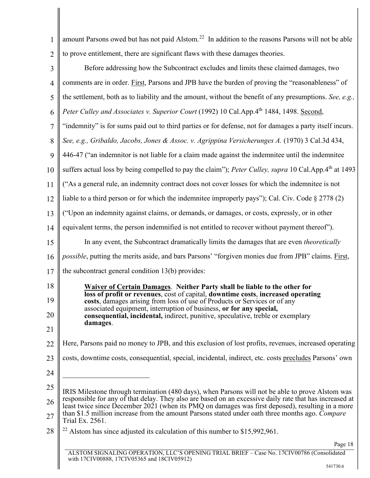<span id="page-22-2"></span><span id="page-22-1"></span><span id="page-22-0"></span>

| 1              | amount Parsons owed but has not paid Alstom. <sup>22</sup> In addition to the reasons Parsons will not be able                                                                                              |
|----------------|-------------------------------------------------------------------------------------------------------------------------------------------------------------------------------------------------------------|
| $\overline{2}$ | to prove entitlement, there are significant flaws with these damages theories.                                                                                                                              |
| 3              | Before addressing how the Subcontract excludes and limits these claimed damages, two                                                                                                                        |
| $\overline{4}$ | comments are in order. First, Parsons and JPB have the burden of proving the "reasonableness" of                                                                                                            |
| 5              | the settlement, both as to liability and the amount, without the benefit of any presumptions. See, e.g.,                                                                                                    |
| 6              | Peter Culley and Associates v. Superior Court (1992) 10 Cal.App.4 <sup>th</sup> 1484, 1498. Second,                                                                                                         |
| $\overline{7}$ | "indemnity" is for sums paid out to third parties or for defense, not for damages a party itself incurs.                                                                                                    |
| 8              | See, e.g., Gribaldo, Jacobs, Jones & Assoc. v. Agrippina Versicherunges A. (1970) 3 Cal.3d 434,                                                                                                             |
| 9              | 446-47 ("an indemnitor is not liable for a claim made against the indemnitee until the indemnitee                                                                                                           |
| 10             | suffers actual loss by being compelled to pay the claim"); Peter Culley, supra 10 Cal.App.4 <sup>th</sup> at 1493                                                                                           |
| 11             | ("As a general rule, an indemnity contract does not cover losses for which the indemnitee is not                                                                                                            |
| 12             | liable to a third person or for which the indemnitee improperly pays"); Cal. Civ. Code § 2778 (2)                                                                                                           |
| 13             | ("Upon an indemnity against claims, or demands, or damages, or costs, expressly, or in other                                                                                                                |
| 14             | equivalent terms, the person indemnified is not entitled to recover without payment thereof").                                                                                                              |
| 15             | In any event, the Subcontract dramatically limits the damages that are even <i>theoretically</i>                                                                                                            |
| 16             | <i>possible</i> , putting the merits aside, and bars Parsons' "forgiven monies due from JPB" claims. First,                                                                                                 |
| 17             | the subcontract general condition 13(b) provides:                                                                                                                                                           |
| 18             | Waiver of Certain Damages. Neither Party shall be liable to the other for                                                                                                                                   |
| 19             | loss of profit or revenues, cost of capital, downtime costs, increased operating<br>costs, damages arising from loss of use of Products or Services or of any                                               |
| 20             | associated equipment, interruption of business, or for any special,<br>consequential, incidental, indirect, punitive, speculative, treble or exemplary                                                      |
| 21             | damages.                                                                                                                                                                                                    |
| 22             | Here, Parsons paid no money to JPB, and this exclusion of lost profits, revenues, increased operating                                                                                                       |
| 23             | costs, downtime costs, consequential, special, incidental, indirect, etc. costs precludes Parsons' own                                                                                                      |
| 24             |                                                                                                                                                                                                             |
| 25             | IRIS Milestone through termination (480 days), when Parsons will not be able to prove Alstom was                                                                                                            |
| 26             | responsible for any of that delay. They also are based on an excessive daily rate that has increased at<br>least twice since December 2021 (when its PMQ on damages was first deposed), resulting in a more |
| 27             | than \$1.5 million increase from the amount Parsons stated under oath three months ago. Compare<br>Trial Ex. 2561.                                                                                          |
| 28             | $22$ Alstom has since adjusted its calculation of this number to \$15,992,961.                                                                                                                              |
|                | Page 18                                                                                                                                                                                                     |
|                | ALSTOM SIGNALING OPERATION, LLC'S OPENING TRIAL BRIEF - Case No. 17CIV00786 (Consolidated                                                                                                                   |

<span id="page-22-3"></span>with 17CIV00888, 17CIV05365 and 18CIV05912)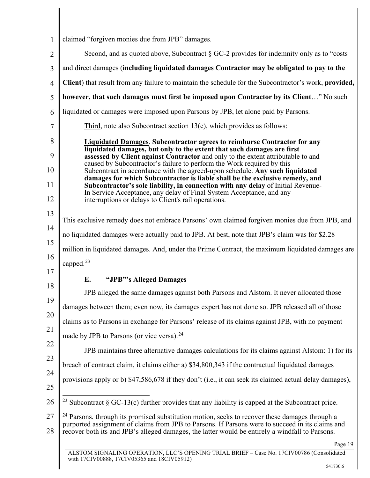| claimed "forgiven monies due from JPB" damages.                                                                                                                                                                                                                                                                                                                                                                                                                                                                                                                                                                                                                                                      |
|------------------------------------------------------------------------------------------------------------------------------------------------------------------------------------------------------------------------------------------------------------------------------------------------------------------------------------------------------------------------------------------------------------------------------------------------------------------------------------------------------------------------------------------------------------------------------------------------------------------------------------------------------------------------------------------------------|
| Second, and as quoted above, Subcontract $\S GC-2$ provides for indemnity only as to "costs"                                                                                                                                                                                                                                                                                                                                                                                                                                                                                                                                                                                                         |
| and direct damages (including liquidated damages Contractor may be obligated to pay to the                                                                                                                                                                                                                                                                                                                                                                                                                                                                                                                                                                                                           |
| Client) that result from any failure to maintain the schedule for the Subcontractor's work, provided,                                                                                                                                                                                                                                                                                                                                                                                                                                                                                                                                                                                                |
| however, that such damages must first be imposed upon Contractor by its Client" No such                                                                                                                                                                                                                                                                                                                                                                                                                                                                                                                                                                                                              |
| liquidated or damages were imposed upon Parsons by JPB, let alone paid by Parsons.                                                                                                                                                                                                                                                                                                                                                                                                                                                                                                                                                                                                                   |
| Third, note also Subcontract section $13(e)$ , which provides as follows:                                                                                                                                                                                                                                                                                                                                                                                                                                                                                                                                                                                                                            |
| Liquidated Damages. Subcontractor agrees to reimburse Contractor for any<br>liquidated damages, but only to the extent that such damages are first<br>assessed by Client against Contractor and only to the extent attributable to and<br>caused by Subcontractor's failure to perform the Work required by this<br>Subcontract in accordance with the agreed-upon schedule. Any such liquidated<br>damages for which Subcontractor is liable shall be the exclusive remedy, and<br>Subcontractor's sole liability, in connection with any delay of Initial Revenue-<br>In Service Acceptance, any delay of Final System Acceptance, and any<br>interruptions or delays to Client's rail operations. |
| This exclusive remedy does not embrace Parsons' own claimed forgiven monies due from JPB, and                                                                                                                                                                                                                                                                                                                                                                                                                                                                                                                                                                                                        |
| no liquidated damages were actually paid to JPB. At best, note that JPB's claim was for \$2.28                                                                                                                                                                                                                                                                                                                                                                                                                                                                                                                                                                                                       |
| million in liquidated damages. And, under the Prime Contract, the maximum liquidated damages are                                                                                                                                                                                                                                                                                                                                                                                                                                                                                                                                                                                                     |
| capped. <sup>23</sup>                                                                                                                                                                                                                                                                                                                                                                                                                                                                                                                                                                                                                                                                                |
| "JPB"'s Alleged Damages<br>E.                                                                                                                                                                                                                                                                                                                                                                                                                                                                                                                                                                                                                                                                        |
| JPB alleged the same damages against both Parsons and Alstom. It never allocated those                                                                                                                                                                                                                                                                                                                                                                                                                                                                                                                                                                                                               |
| damages between them; even now, its damages expert has not done so. JPB released all of those                                                                                                                                                                                                                                                                                                                                                                                                                                                                                                                                                                                                        |
| claims as to Parsons in exchange for Parsons' release of its claims against JPB, with no payment                                                                                                                                                                                                                                                                                                                                                                                                                                                                                                                                                                                                     |
| made by JPB to Parsons (or vice versa). <sup>24</sup>                                                                                                                                                                                                                                                                                                                                                                                                                                                                                                                                                                                                                                                |
| JPB maintains three alternative damages calculations for its claims against Alstom: 1) for its                                                                                                                                                                                                                                                                                                                                                                                                                                                                                                                                                                                                       |
| breach of contract claim, it claims either a) \$34,800,343 if the contractual liquidated damages                                                                                                                                                                                                                                                                                                                                                                                                                                                                                                                                                                                                     |
| provisions apply or b) \$47,586,678 if they don't (i.e., it can seek its claimed actual delay damages),                                                                                                                                                                                                                                                                                                                                                                                                                                                                                                                                                                                              |
| <sup>23</sup> Subcontract § GC-13(c) further provides that any liability is capped at the Subcontract price.                                                                                                                                                                                                                                                                                                                                                                                                                                                                                                                                                                                         |
| <sup>24</sup> Parsons, through its promised substitution motion, seeks to recover these damages through a<br>purported assignment of claims from JPB to Parsons. If Parsons were to succeed in its claims and<br>recover both its and JPB's alleged damages, the latter would be entirely a windfall to Parsons.                                                                                                                                                                                                                                                                                                                                                                                     |
| Page 19<br>ALSTOM SIGNALING OPERATION LLC'S OPENING TRIAL BRIEF - Case No. 17CIV00786 (Consolidated                                                                                                                                                                                                                                                                                                                                                                                                                                                                                                                                                                                                  |
|                                                                                                                                                                                                                                                                                                                                                                                                                                                                                                                                                                                                                                                                                                      |

<span id="page-23-1"></span><span id="page-23-0"></span> $\mathbb{I}$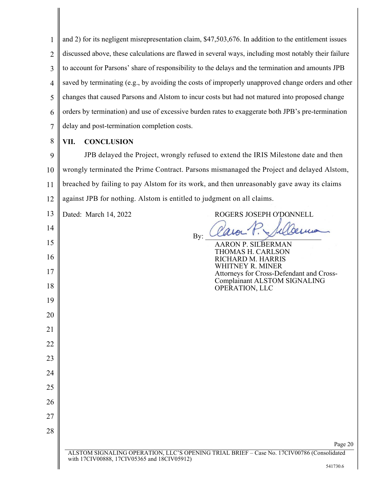1 2 3 4 5 6 7 and 2) for its negligent misrepresentation claim, \$47,503,676. In addition to the entitlement issues discussed above, these calculations are flawed in several ways, including most notably their failure to account for Parsons' share of responsibility to the delays and the termination and amounts JPB saved by terminating (e.g., by avoiding the costs of improperly unapproved change orders and other changes that caused Parsons and Alstom to incur costs but had not matured into proposed change orders by termination) and use of excessive burden rates to exaggerate both JPB's pre-termination delay and post-termination completion costs.

8

# **VII. CONCLUSION**

9 10 11 12 JPB delayed the Project, wrongly refused to extend the IRIS Milestone date and then wrongly terminated the Prime Contract. Parsons mismanaged the Project and delayed Alstom, breached by failing to pay Alstom for its work, and then unreasonably gave away its claims against JPB for nothing. Alstom is entitled to judgment on all claims.

| 13 | Dated: March 14, 2022                       | ROGERS JOSEPH O'DONNELL                                                                   |
|----|---------------------------------------------|-------------------------------------------------------------------------------------------|
| 14 |                                             |                                                                                           |
| 15 |                                             | By:<br><b>AARON P. SILBERMAN</b>                                                          |
| 16 |                                             | THOMAS H. CARLSON<br>RICHARD M. HARRIS<br>WHITNEY R. MINER                                |
| 17 |                                             | Attorneys for Cross-Defendant and Cross-                                                  |
| 18 |                                             | Complainant ALSTOM SIGNALING<br>OPERATION, LLC                                            |
| 19 |                                             |                                                                                           |
| 20 |                                             |                                                                                           |
| 21 |                                             |                                                                                           |
| 22 |                                             |                                                                                           |
| 23 |                                             |                                                                                           |
| 24 |                                             |                                                                                           |
| 25 |                                             |                                                                                           |
| 26 |                                             |                                                                                           |
| 27 |                                             |                                                                                           |
| 28 |                                             |                                                                                           |
|    |                                             | Page 20                                                                                   |
|    | with 17CIV00888, 17CIV05365 and 18CIV05912) | ALSTOM SIGNALING OPERATION, LLC'S OPENING TRIAL BRIEF - Case No. 17CIV00786 (Consolidated |
|    |                                             | 541730.6                                                                                  |